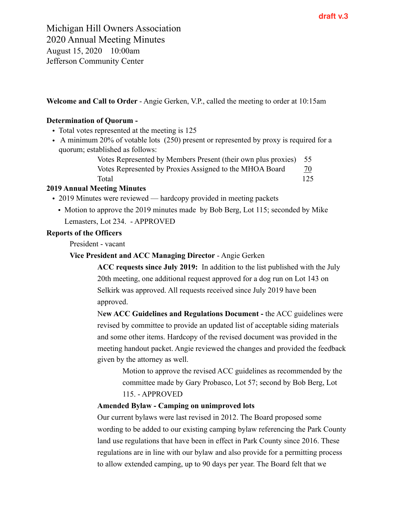**Welcome and Call to Order** - Angie Gerken, V.P., called the meeting to order at 10:15am

# **Determination of Quorum -**

- Total votes represented at the meeting is 125
- A minimum 20% of votable lots (250) present or represented by proxy is required for a quorum; established as follows:

Votes Represented by Members Present (their own plus proxies) 55 Votes Represented by Proxies Assigned to the MHOA Board  $\frac{70}{2}$ Total 125

# **2019 Annual Meeting Minutes**

- 2019 Minutes were reviewed hardcopy provided in meeting packets
	- Motion to approve the 2019 minutes made by Bob Berg, Lot 115; seconded by Mike Lemasters, Lot 234. - APPROVED

## **Reports of the Officers**

President - vacant

**Vice President and ACC Managing Director** - Angie Gerken

**ACC requests since July 2019:** In addition to the list published with the July 20th meeting, one additional request approved for a dog run on Lot 143 on Selkirk was approved. All requests received since July 2019 have been approved.

N**ew ACC Guidelines and Regulations Document -** the ACC guidelines were revised by committee to provide an updated list of acceptable siding materials and some other items. Hardcopy of the revised document was provided in the meeting handout packet. Angie reviewed the changes and provided the feedback given by the attorney as well.

Motion to approve the revised ACC guidelines as recommended by the committee made by Gary Probasco, Lot 57; second by Bob Berg, Lot 115. - APPROVED

## **Amended Bylaw - Camping on unimproved lots**

Our current bylaws were last revised in 2012. The Board proposed some wording to be added to our existing camping bylaw referencing the Park County land use regulations that have been in effect in Park County since 2016. These regulations are in line with our bylaw and also provide for a permitting process to allow extended camping, up to 90 days per year. The Board felt that we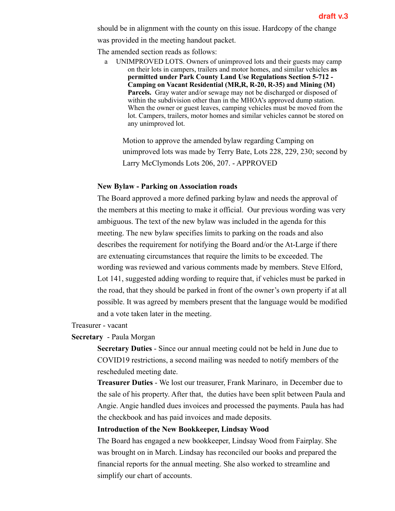should be in alignment with the county on this issue. Hardcopy of the change was provided in the meeting handout packet.

The amended section reads as follows:

UNIMPROVED LOTS. Owners of unimproved lots and their guests may camp on their lots in campers, trailers and motor homes, and similar vehicles **as permitted under Park County Land Use Regulations Section 5-712 - Camping on Vacant Residential (MR,R, R-20, R-35) and Mining (M)**  Parcels. Gray water and/or sewage may not be discharged or disposed of within the subdivision other than in the MHOA's approved dump station. When the owner or guest leaves, camping vehicles must be moved from the lot. Campers, trailers, motor homes and similar vehicles cannot be stored on any unimproved lot.

Motion to approve the amended bylaw regarding Camping on unimproved lots was made by Terry Bate, Lots 228, 229, 230; second by Larry McClymonds Lots 206, 207. - APPROVED

## **New Bylaw - Parking on Association roads**

The Board approved a more defined parking bylaw and needs the approval of the members at this meeting to make it official. Our previous wording was very ambiguous. The text of the new bylaw was included in the agenda for this meeting. The new bylaw specifies limits to parking on the roads and also describes the requirement for notifying the Board and/or the At-Large if there are extenuating circumstances that require the limits to be exceeded. The wording was reviewed and various comments made by members. Steve Elford, Lot 141, suggested adding wording to require that, if vehicles must be parked in the road, that they should be parked in front of the owner's own property if at all possible. It was agreed by members present that the language would be modified and a vote taken later in the meeting.

Treasurer - vacant

**Secretary** - Paula Morgan

**Secretary Duties** - Since our annual meeting could not be held in June due to COVID19 restrictions, a second mailing was needed to notify members of the rescheduled meeting date.

**Treasurer Duties** - We lost our treasurer, Frank Marinaro, in December due to the sale of his property. After that, the duties have been split between Paula and Angie. Angie handled dues invoices and processed the payments. Paula has had the checkbook and has paid invoices and made deposits.

## **Introduction of the New Bookkeeper, Lindsay Wood**

The Board has engaged a new bookkeeper, Lindsay Wood from Fairplay. She was brought on in March. Lindsay has reconciled our books and prepared the financial reports for the annual meeting. She also worked to streamline and simplify our chart of accounts.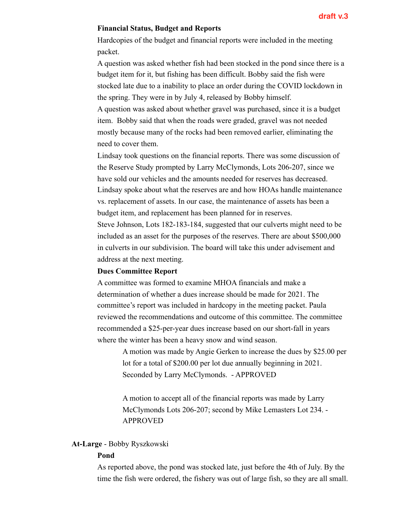## **Financial Status, Budget and Reports**

Hardcopies of the budget and financial reports were included in the meeting packet.

A question was asked whether fish had been stocked in the pond since there is a budget item for it, but fishing has been difficult. Bobby said the fish were stocked late due to a inability to place an order during the COVID lockdown in the spring. They were in by July 4, released by Bobby himself.

A question was asked about whether gravel was purchased, since it is a budget item. Bobby said that when the roads were graded, gravel was not needed mostly because many of the rocks had been removed earlier, eliminating the need to cover them.

Lindsay took questions on the financial reports. There was some discussion of the Reserve Study prompted by Larry McClymonds, Lots 206-207, since we have sold our vehicles and the amounts needed for reserves has decreased. Lindsay spoke about what the reserves are and how HOAs handle maintenance vs. replacement of assets. In our case, the maintenance of assets has been a budget item, and replacement has been planned for in reserves.

Steve Johnson, Lots 182-183-184, suggested that our culverts might need to be included as an asset for the purposes of the reserves. There are about \$500,000 in culverts in our subdivision. The board will take this under advisement and address at the next meeting.

## **Dues Committee Report**

A committee was formed to examine MHOA financials and make a determination of whether a dues increase should be made for 2021. The committee's report was included in hardcopy in the meeting packet. Paula reviewed the recommendations and outcome of this committee. The committee recommended a \$25-per-year dues increase based on our short-fall in years where the winter has been a heavy snow and wind season.

> A motion was made by Angie Gerken to increase the dues by \$25.00 per lot for a total of \$200.00 per lot due annually beginning in 2021. Seconded by Larry McClymonds. - APPROVED

A motion to accept all of the financial reports was made by Larry McClymonds Lots 206-207; second by Mike Lemasters Lot 234. - APPROVED

## **At-Large** - Bobby Ryszkowski

#### **Pond**

As reported above, the pond was stocked late, just before the 4th of July. By the time the fish were ordered, the fishery was out of large fish, so they are all small.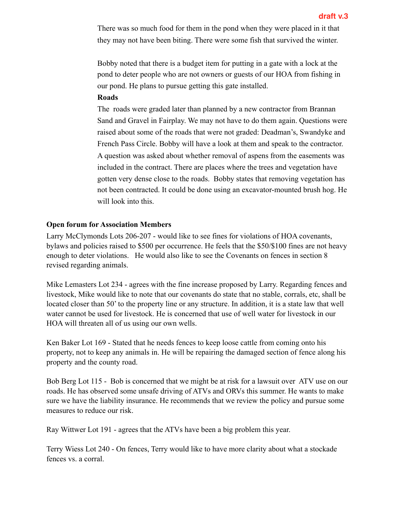There was so much food for them in the pond when they were placed in it that they may not have been biting. There were some fish that survived the winter.

Bobby noted that there is a budget item for putting in a gate with a lock at the pond to deter people who are not owners or guests of our HOA from fishing in our pond. He plans to pursue getting this gate installed.

## **Roads**

The roads were graded later than planned by a new contractor from Brannan Sand and Gravel in Fairplay. We may not have to do them again. Questions were raised about some of the roads that were not graded: Deadman's, Swandyke and French Pass Circle. Bobby will have a look at them and speak to the contractor. A question was asked about whether removal of aspens from the easements was included in the contract. There are places where the trees and vegetation have gotten very dense close to the roads. Bobby states that removing vegetation has not been contracted. It could be done using an excavator-mounted brush hog. He will look into this.

# **Open forum for Association Members**

Larry McClymonds Lots 206-207 - would like to see fines for violations of HOA covenants, bylaws and policies raised to \$500 per occurrence. He feels that the \$50/\$100 fines are not heavy enough to deter violations. He would also like to see the Covenants on fences in section 8 revised regarding animals.

Mike Lemasters Lot 234 - agrees with the fine increase proposed by Larry. Regarding fences and livestock, Mike would like to note that our covenants do state that no stable, corrals, etc, shall be located closer than 50' to the property line or any structure. In addition, it is a state law that well water cannot be used for livestock. He is concerned that use of well water for livestock in our HOA will threaten all of us using our own wells.

Ken Baker Lot 169 - Stated that he needs fences to keep loose cattle from coming onto his property, not to keep any animals in. He will be repairing the damaged section of fence along his property and the county road.

Bob Berg Lot 115 - Bob is concerned that we might be at risk for a lawsuit over ATV use on our roads. He has observed some unsafe driving of ATVs and ORVs this summer. He wants to make sure we have the liability insurance. He recommends that we review the policy and pursue some measures to reduce our risk.

Ray Wittwer Lot 191 - agrees that the ATVs have been a big problem this year.

Terry Wiess Lot 240 - On fences, Terry would like to have more clarity about what a stockade fences vs. a corral.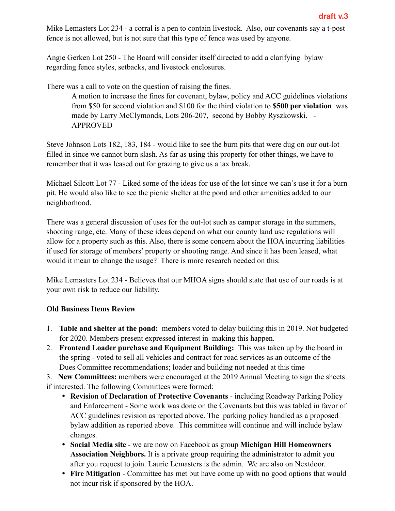Mike Lemasters Lot 234 - a corral is a pen to contain livestock. Also, our covenants say a t-post fence is not allowed, but is not sure that this type of fence was used by anyone.

Angie Gerken Lot 250 - The Board will consider itself directed to add a clarifying bylaw regarding fence styles, setbacks, and livestock enclosures.

There was a call to vote on the question of raising the fines.

A motion to increase the fines for covenant, bylaw, policy and ACC guidelines violations from \$50 for second violation and \$100 for the third violation to **\$500 per violation** was made by Larry McClymonds, Lots 206-207, second by Bobby Ryszkowski. - APPROVED

Steve Johnson Lots 182, 183, 184 - would like to see the burn pits that were dug on our out-lot filled in since we cannot burn slash. As far as using this property for other things, we have to remember that it was leased out for grazing to give us a tax break.

Michael Silcott Lot 77 - Liked some of the ideas for use of the lot since we can's use it for a burn pit. He would also like to see the picnic shelter at the pond and other amenities added to our neighborhood.

There was a general discussion of uses for the out-lot such as camper storage in the summers, shooting range, etc. Many of these ideas depend on what our county land use regulations will allow for a property such as this. Also, there is some concern about the HOA incurring liabilities if used for storage of members' property or shooting range. And since it has been leased, what would it mean to change the usage? There is more research needed on this.

Mike Lemasters Lot 234 - Believes that our MHOA signs should state that use of our roads is at your own risk to reduce our liability.

# **Old Business Items Review**

- 1. **Table and shelter at the pond:** members voted to delay building this in 2019. Not budgeted for 2020. Members present expressed interest in making this happen.
- 2. **Frontend Loader purchase and Equipment Building:** This was taken up by the board in the spring - voted to sell all vehicles and contract for road services as an outcome of the Dues Committee recommendations; loader and building not needed at this time

3. **New Committees:** members were encouraged at the 2019 Annual Meeting to sign the sheets if interested. The following Committees were formed:

- **Revision of Declaration of Protective Covenants** including Roadway Parking Policy and Enforcement - Some work was done on the Covenants but this was tabled in favor of ACC guidelines revision as reported above. The parking policy handled as a proposed bylaw addition as reported above. This committee will continue and will include bylaw changes.
- **Social Media site**  we are now on Facebook as group **Michigan Hill Homeowners Association Neighbors.** It is a private group requiring the administrator to admit you after you request to join. Laurie Lemasters is the admin. We are also on Nextdoor.
- **Fire Mitigation** Committee has met but have come up with no good options that would not incur risk if sponsored by the HOA.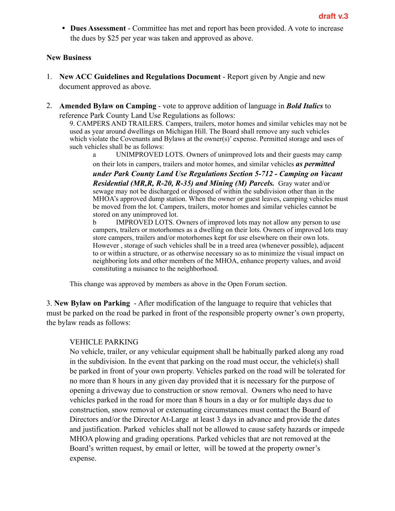• **Dues Assessment** - Committee has met and report has been provided. A vote to increase the dues by \$25 per year was taken and approved as above.

# **New Business**

- 1. **New ACC Guidelines and Regulations Document**  Report given by Angie and new document approved as above.
- 2. **Amended Bylaw on Camping** vote to approve addition of language in *Bold Italics* to reference Park County Land Use Regulations as follows:

9. CAMPERS AND TRAILERS. Campers, trailers, motor homes and similar vehicles may not be used as year around dwellings on Michigan Hill. The Board shall remove any such vehicles which violate the Covenants and Bylaws at the owner(s)' expense. Permitted storage and uses of such vehicles shall be as follows:

 a UNIMPROVED LOTS. Owners of unimproved lots and their guests may camp on their lots in campers, trailers and motor homes, and similar vehicles *as permitted* 

*under Park County Land Use Regulations Section 5-712 - Camping on Vacant Residential (MR,R, R-20, R-35) and Mining (M) Parcels.* Gray water and/or sewage may not be discharged or disposed of within the subdivision other than in the MHOA's approved dump station. When the owner or guest leaves, camping vehicles must be moved from the lot. Campers, trailers, motor homes and similar vehicles cannot be stored on any unimproved lot.

 b IMPROVED LOTS. Owners of improved lots may not allow any person to use campers, trailers or motorhomes as a dwelling on their lots. Owners of improved lots may store campers, trailers and/or motorhomes kept for use elsewhere on their own lots. However , storage of such vehicles shall be in a treed area (whenever possible), adjacent to or within a structure, or as otherwise necessary so as to minimize the visual impact on neighboring lots and other members of the MHOA, enhance property values, and avoid constituting a nuisance to the neighborhood.

This change was approved by members as above in the Open Forum section.

3. **New Bylaw on Parking** - After modification of the language to require that vehicles that must be parked on the road be parked in front of the responsible property owner's own property, the bylaw reads as follows:

# VEHICLE PARKING

No vehicle, trailer, or any vehicular equipment shall be habitually parked along any road in the subdivision. In the event that parking on the road must occur, the vehicle(s) shall be parked in front of your own property. Vehicles parked on the road will be tolerated for no more than 8 hours in any given day provided that it is necessary for the purpose of opening a driveway due to construction or snow removal. Owners who need to have vehicles parked in the road for more than 8 hours in a day or for multiple days due to construction, snow removal or extenuating circumstances must contact the Board of Directors and/or the Director At-Large at least 3 days in advance and provide the dates and justification. Parked vehicles shall not be allowed to cause safety hazards or impede MHOA plowing and grading operations. Parked vehicles that are not removed at the Board's written request, by email or letter, will be towed at the property owner's expense.